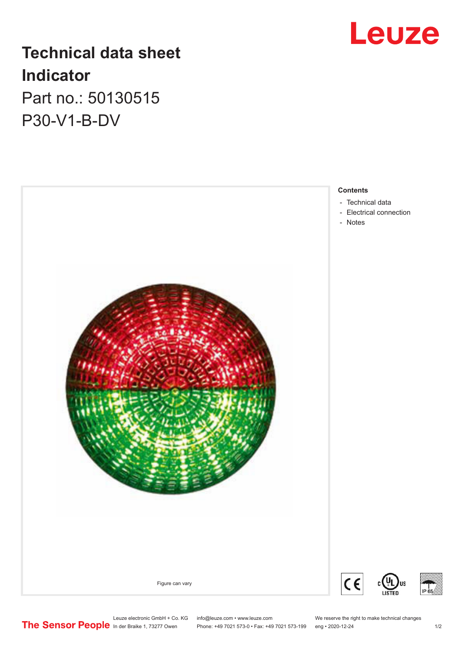

# **Technical data sheet Indicator** Part no.: 50130515

P30-V1-B-DV



- [Electrical connection](#page-1-0)